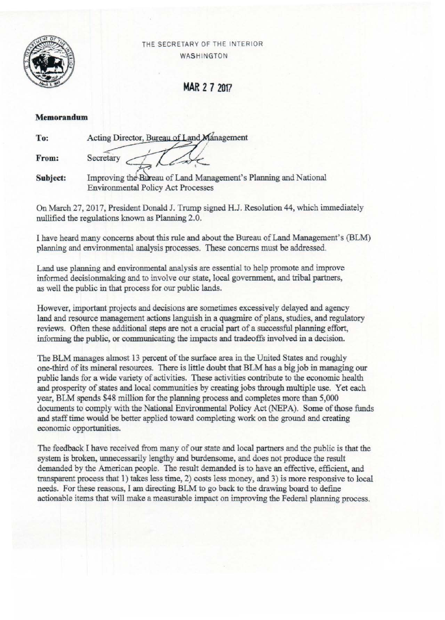

**THE SECRETARY OF THE INTERIOR WAS HINGTON** 

MAR 2 7 2017

## **Memorandum**

| To:      | Acting Director, Bureau of Land Management                                                                   |
|----------|--------------------------------------------------------------------------------------------------------------|
| From:    | Secretary                                                                                                    |
| Subject: | Improving the Bureau of Land Management's Planning and National<br><b>Environmental Policy Act Processes</b> |

On March 27, 2017, President Donald J. Trump signed H.l. Resolution 44, which immediately nullified the regulations known as Planning 2.0.

I have heard many concerns ahout this rule and ahout the Bureau of Land Management's (BLM) planning and environmental analysis processes. These concerns must he addressed.

**Land use planning and environmental analysis are essential to help promote and improve**  informed decisionmaking and to involve our state, local government, and tribal partners, **as well the public in that process for our public lands.** 

**However, important projects and decisions are sometimes excessively delayed and agency**  land and resource management actions languish in a quagmire of plans, studies, and regulatory **reviews. Often these additional steps are not a crucial part of a successful planning effort,**  informing the public, or communicating the impacts and tradeoffs involved in a decision.

The BLM manages almost 13 percent of the surface area in the United States and roughly  $one$ -third of its mineral resources. There is little doubt that BLM has a big job in managing our **public lands for a wide variety of activities. These activities contribute to the economic health**  and prosperity of states and local communities by creating jobs through multiple use. Yet each year, BLM spends \$48 million for the planning process and completes more than 5,000 documents to comply with the National Environmental Policy Act (NEPA). Some of those funds and staff time would he better applied toward completing work on the ground and creating **economic opportunities.** 

**The feedback I have received from many of our state and local partners and the public is that the system is broken, unnecessarily lengthy and burdensome, and does not produce the result demanded by the American people. The result demanded is to have an effective, efficient, and transparent process that 1) takes less time, 2) costs less money, and 3) is more responsive to local**  needs. For these reasons, I am directing BLM to go back to the drawing hoard to define actionable items that will make a measurable impact on improving the Federal planning process.